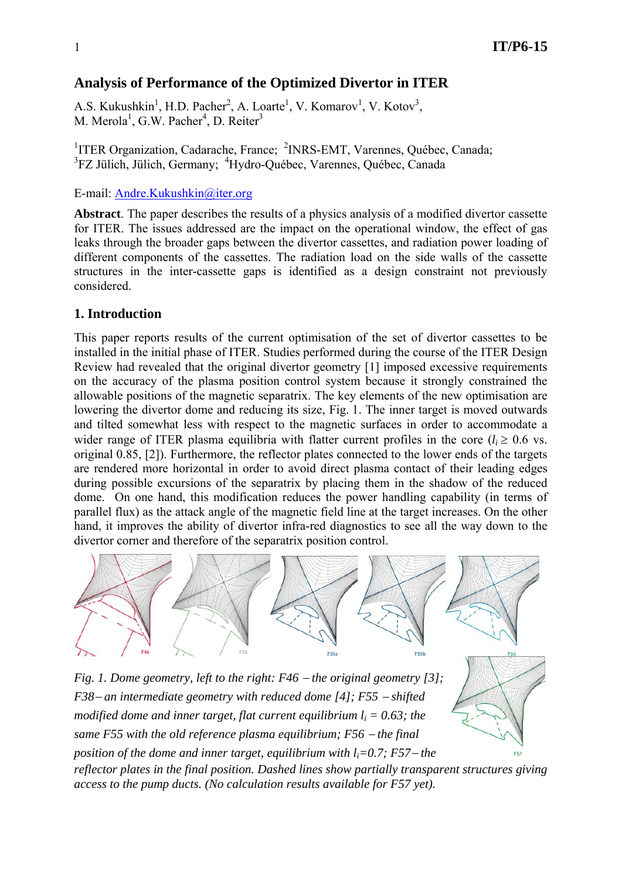# **Analysis of Performance of the Optimized Divertor in ITER**

A.S. Kukushkin<sup>1</sup>, H.D. Pacher<sup>2</sup>, A. Loarte<sup>1</sup>, V. Komarov<sup>1</sup>, V. Kotov<sup>3</sup>, M. Merola<sup>1</sup>, G.W. Pacher<sup>4</sup>, D. Reiter<sup>3</sup>

<sup>1</sup>ITER Organization, Cadarache, France; <sup>2</sup>INRS-EMT, Varennes, Québec, Canada; <sup>3</sup>FZ Jülich, Jülich, Germany; <sup>4</sup>Hydro-Québec, Varennes, Québec, Canada

E-mail: Andre.Kukushkin@iter.org

**Abstract**. The paper describes the results of a physics analysis of a modified divertor cassette for ITER. The issues addressed are the impact on the operational window, the effect of gas leaks through the broader gaps between the divertor cassettes, and radiation power loading of different components of the cassettes. The radiation load on the side walls of the cassette structures in the inter-cassette gaps is identified as a design constraint not previously considered.

## **1. Introduction**

This paper reports results of the current optimisation of the set of divertor cassettes to be installed in the initial phase of ITER. Studies performed during the course of the ITER Design Review had revealed that the original divertor geometry [1] imposed excessive requirements on the accuracy of the plasma position control system because it strongly constrained the allowable positions of the magnetic separatrix. The key elements of the new optimisation are lowering the divertor dome and reducing its size, Fig. 1. The inner target is moved outwards and tilted somewhat less with respect to the magnetic surfaces in order to accommodate a wider range of ITER plasma equilibria with flatter current profiles in the core ( $l_i \geq 0.6$  vs. original 0.85, [2]). Furthermore, the reflector plates connected to the lower ends of the targets are rendered more horizontal in order to avoid direct plasma contact of their leading edges during possible excursions of the separatrix by placing them in the shadow of the reduced dome. On one hand, this modification reduces the power handling capability (in terms of parallel flux) as the attack angle of the magnetic field line at the target increases. On the other hand, it improves the ability of divertor infra-red diagnostics to see all the way down to the divertor corner and therefore of the separatrix position control.



*Fig. 1. Dome geometry, left to the right: F46* − *the original geometry [3]; F38*− *an intermediate geometry with reduced dome [4]; F55* − *shifted modified dome and inner target, flat current equilibrium*  $l_i = 0.63$ *; the same F55 with the old reference plasma equilibrium; F56 − the final position of the dome and inner target, equilibrium with li=0.7; F57*− *the reflector plates in the final position. Dashed lines show partially transparent structures giving access to the pump ducts. (No calculation results available for F57 yet).*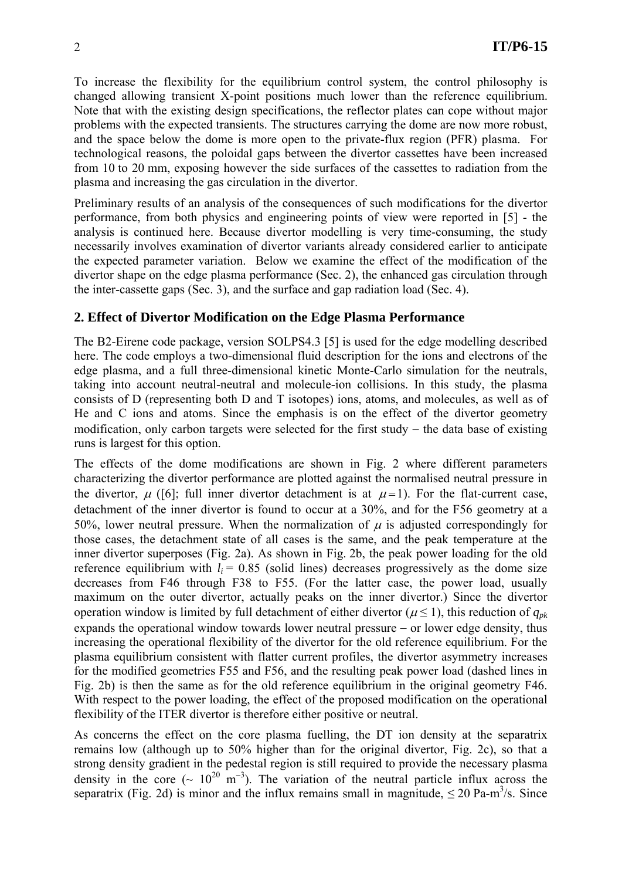To increase the flexibility for the equilibrium control system, the control philosophy is changed allowing transient X-point positions much lower than the reference equilibrium. Note that with the existing design specifications, the reflector plates can cope without major problems with the expected transients. The structures carrying the dome are now more robust, and the space below the dome is more open to the private-flux region (PFR) plasma. For technological reasons, the poloidal gaps between the divertor cassettes have been increased from 10 to 20 mm, exposing however the side surfaces of the cassettes to radiation from the plasma and increasing the gas circulation in the divertor.

Preliminary results of an analysis of the consequences of such modifications for the divertor performance, from both physics and engineering points of view were reported in [5] - the analysis is continued here. Because divertor modelling is very time-consuming, the study necessarily involves examination of divertor variants already considered earlier to anticipate the expected parameter variation. Below we examine the effect of the modification of the divertor shape on the edge plasma performance (Sec. 2), the enhanced gas circulation through the inter-cassette gaps (Sec. 3), and the surface and gap radiation load (Sec. 4).

## **2. Effect of Divertor Modification on the Edge Plasma Performance**

The B2-Eirene code package, version SOLPS4.3 [5] is used for the edge modelling described here. The code employs a two-dimensional fluid description for the ions and electrons of the edge plasma, and a full three-dimensional kinetic Monte-Carlo simulation for the neutrals, taking into account neutral-neutral and molecule-ion collisions. In this study, the plasma consists of D (representing both D and T isotopes) ions, atoms, and molecules, as well as of He and C ions and atoms. Since the emphasis is on the effect of the divertor geometry modification, only carbon targets were selected for the first study − the data base of existing runs is largest for this option.

The effects of the dome modifications are shown in Fig. 2 where different parameters characterizing the divertor performance are plotted against the normalised neutral pressure in the divertor,  $\mu$  ([6]; full inner divertor detachment is at  $\mu$ =1). For the flat-current case, detachment of the inner divertor is found to occur at a 30%, and for the F56 geometry at a 50%, lower neutral pressure. When the normalization of  $\mu$  is adjusted correspondingly for those cases, the detachment state of all cases is the same, and the peak temperature at the inner divertor superposes (Fig. 2a). As shown in Fig. 2b, the peak power loading for the old reference equilibrium with  $l_i = 0.85$  (solid lines) decreases progressively as the dome size decreases from F46 through F38 to F55. (For the latter case, the power load, usually maximum on the outer divertor, actually peaks on the inner divertor.) Since the divertor operation window is limited by full detachment of either divertor ( $\mu \le 1$ ), this reduction of  $q_{pk}$ expands the operational window towards lower neutral pressure − or lower edge density, thus increasing the operational flexibility of the divertor for the old reference equilibrium. For the plasma equilibrium consistent with flatter current profiles, the divertor asymmetry increases for the modified geometries F55 and F56, and the resulting peak power load (dashed lines in Fig. 2b) is then the same as for the old reference equilibrium in the original geometry F46. With respect to the power loading, the effect of the proposed modification on the operational flexibility of the ITER divertor is therefore either positive or neutral.

As concerns the effect on the core plasma fuelling, the DT ion density at the separatrix remains low (although up to 50% higher than for the original divertor, Fig. 2c), so that a strong density gradient in the pedestal region is still required to provide the necessary plasma density in the core ( $\sim 10^{20}$  m<sup>-3</sup>). The variation of the neutral particle influx across the separatrix (Fig. 2d) is minor and the influx remains small in magnitude,  $\leq 20$  Pa-m<sup>3</sup>/s. Since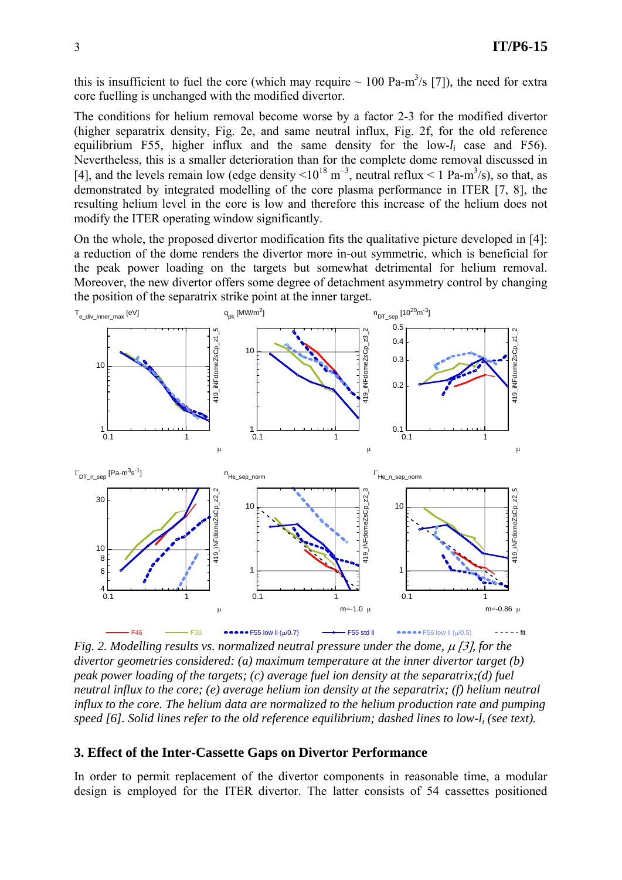this is insufficient to fuel the core (which may require  $\sim 100$  Pa-m<sup>3</sup>/s [7]), the need for extra core fuelling is unchanged with the modified divertor.

The conditions for helium removal become worse by a factor 2-3 for the modified divertor (higher separatrix density, Fig. 2e, and same neutral influx, Fig. 2f, for the old reference equilibrium F55, higher influx and the same density for the low-*li* case and F56). Nevertheless, this is a smaller deterioration than for the complete dome removal discussed in [4], and the levels remain low (edge density  $\leq 10^{18}$  m<sup>-3</sup>, neutral reflux  $\leq 1$  Pa-m<sup>3</sup>/s), so that, as demonstrated by integrated modelling of the core plasma performance in ITER [7, 8], the resulting helium level in the core is low and therefore this increase of the helium does not modify the ITER operating window significantly.

On the whole, the proposed divertor modification fits the qualitative picture developed in [4]: a reduction of the dome renders the divertor more in-out symmetric, which is beneficial for the peak power loading on the targets but somewhat detrimental for helium removal. Moreover, the new divertor offers some degree of detachment asymmetry control by changing the position of the separatrix strike point at the inner target.



*Fig. 2. Modelling results vs. normalized neutral pressure under the dome,* μ [3]*, for the divertor geometries considered: (a) maximum temperature at the inner divertor target (b) peak power loading of the targets; (c) average fuel ion density at the separatrix;(d) fuel neutral influx to the core; (e) average helium ion density at the separatrix; (f) helium neutral influx to the core. The helium data are normalized to the helium production rate and pumping speed [6]. Solid lines refer to the old reference equilibrium; dashed lines to low-li (see text).* 

#### **3. Effect of the Inter-Cassette Gaps on Divertor Performance**

In order to permit replacement of the divertor components in reasonable time, a modular design is employed for the ITER divertor. The latter consists of 54 cassettes positioned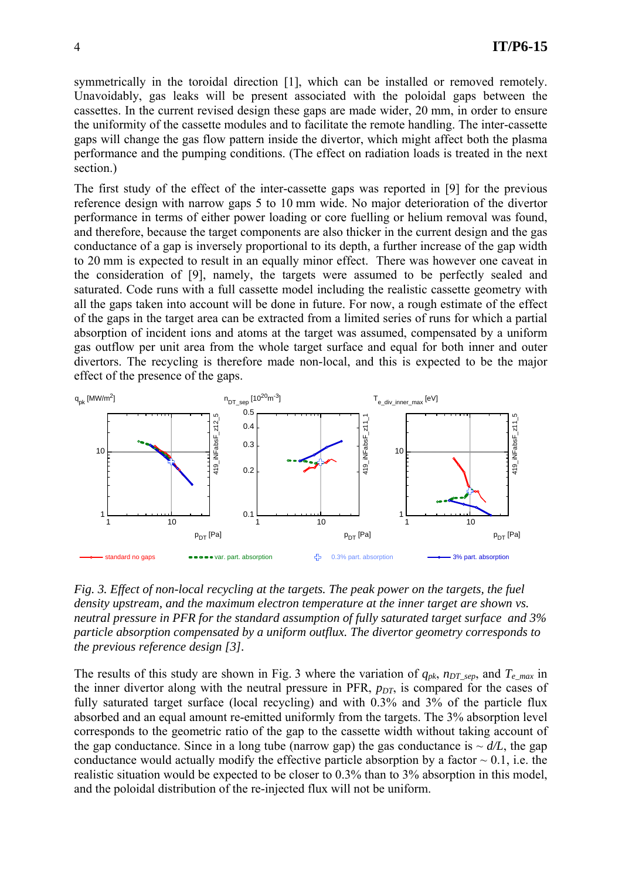symmetrically in the toroidal direction [1], which can be installed or removed remotely. Unavoidably, gas leaks will be present associated with the poloidal gaps between the cassettes. In the current revised design these gaps are made wider, 20 mm, in order to ensure the uniformity of the cassette modules and to facilitate the remote handling. The inter-cassette gaps will change the gas flow pattern inside the divertor, which might affect both the plasma performance and the pumping conditions. (The effect on radiation loads is treated in the next section.)

The first study of the effect of the inter-cassette gaps was reported in [9] for the previous reference design with narrow gaps 5 to 10 mm wide. No major deterioration of the divertor performance in terms of either power loading or core fuelling or helium removal was found, and therefore, because the target components are also thicker in the current design and the gas conductance of a gap is inversely proportional to its depth, a further increase of the gap width to 20 mm is expected to result in an equally minor effect. There was however one caveat in the consideration of [9], namely, the targets were assumed to be perfectly sealed and saturated. Code runs with a full cassette model including the realistic cassette geometry with all the gaps taken into account will be done in future. For now, a rough estimate of the effect of the gaps in the target area can be extracted from a limited series of runs for which a partial absorption of incident ions and atoms at the target was assumed, compensated by a uniform gas outflow per unit area from the whole target surface and equal for both inner and outer divertors. The recycling is therefore made non-local, and this is expected to be the major effect of the presence of the gaps.



*Fig. 3. Effect of non-local recycling at the targets. The peak power on the targets, the fuel density upstream, and the maximum electron temperature at the inner target are shown vs. neutral pressure in PFR for the standard assumption of fully saturated target surface and 3% particle absorption compensated by a uniform outflux. The divertor geometry corresponds to the previous reference design [3].* 

The results of this study are shown in Fig. 3 where the variation of  $q_{pk}$ ,  $n_{DT\_sep}$ , and  $T_{e\_max}$  in the inner divertor along with the neutral pressure in PFR,  $p_{DT}$ , is compared for the cases of fully saturated target surface (local recycling) and with 0.3% and 3% of the particle flux absorbed and an equal amount re-emitted uniformly from the targets. The 3% absorption level corresponds to the geometric ratio of the gap to the cassette width without taking account of the gap conductance. Since in a long tube (narrow gap) the gas conductance is  $\sim d/L$ , the gap conductance would actually modify the effective particle absorption by a factor  $\sim 0.1$ , i.e. the realistic situation would be expected to be closer to 0.3% than to 3% absorption in this model, and the poloidal distribution of the re-injected flux will not be uniform.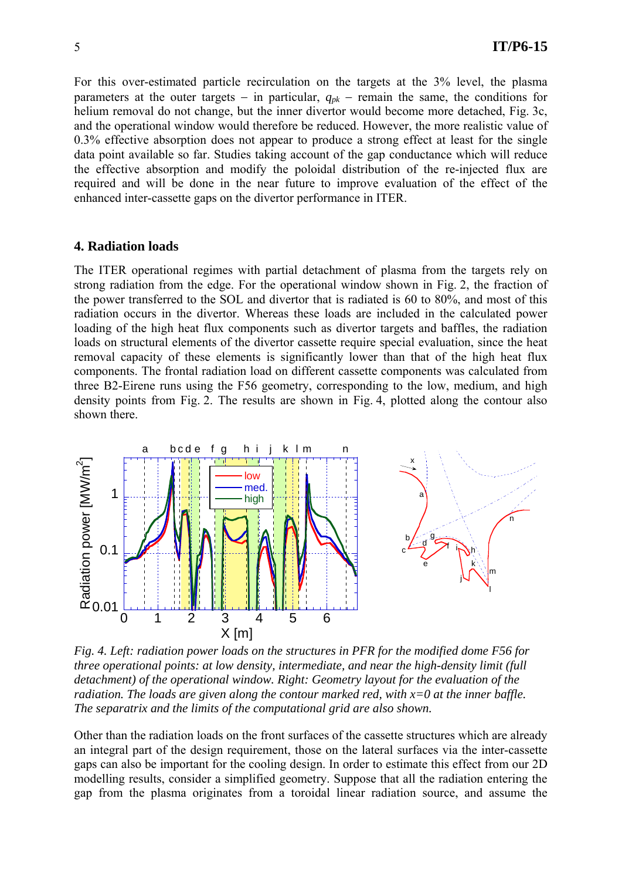For this over-estimated particle recirculation on the targets at the 3% level, the plasma parameters at the outer targets − in particular, *qpk* − remain the same, the conditions for helium removal do not change, but the inner divertor would become more detached, Fig. 3c, and the operational window would therefore be reduced. However, the more realistic value of 0.3% effective absorption does not appear to produce a strong effect at least for the single data point available so far. Studies taking account of the gap conductance which will reduce the effective absorption and modify the poloidal distribution of the re-injected flux are required and will be done in the near future to improve evaluation of the effect of the enhanced inter-cassette gaps on the divertor performance in ITER.

#### **4. Radiation loads**

The ITER operational regimes with partial detachment of plasma from the targets rely on strong radiation from the edge. For the operational window shown in Fig. 2, the fraction of the power transferred to the SOL and divertor that is radiated is 60 to 80%, and most of this radiation occurs in the divertor. Whereas these loads are included in the calculated power loading of the high heat flux components such as divertor targets and baffles, the radiation loads on structural elements of the divertor cassette require special evaluation, since the heat removal capacity of these elements is significantly lower than that of the high heat flux components. The frontal radiation load on different cassette components was calculated from three B2-Eirene runs using the F56 geometry, corresponding to the low, medium, and high density points from Fig. 2. The results are shown in Fig. 4, plotted along the contour also shown there.



*Fig. 4. Left: radiation power loads on the structures in PFR for the modified dome F56 for three operational points: at low density, intermediate, and near the high-density limit (full detachment) of the operational window. Right: Geometry layout for the evaluation of the radiation. The loads are given along the contour marked red, with x=0 at the inner baffle. The separatrix and the limits of the computational grid are also shown.* 

Other than the radiation loads on the front surfaces of the cassette structures which are already an integral part of the design requirement, those on the lateral surfaces via the inter-cassette gaps can also be important for the cooling design. In order to estimate this effect from our 2D modelling results, consider a simplified geometry. Suppose that all the radiation entering the gap from the plasma originates from a toroidal linear radiation source, and assume the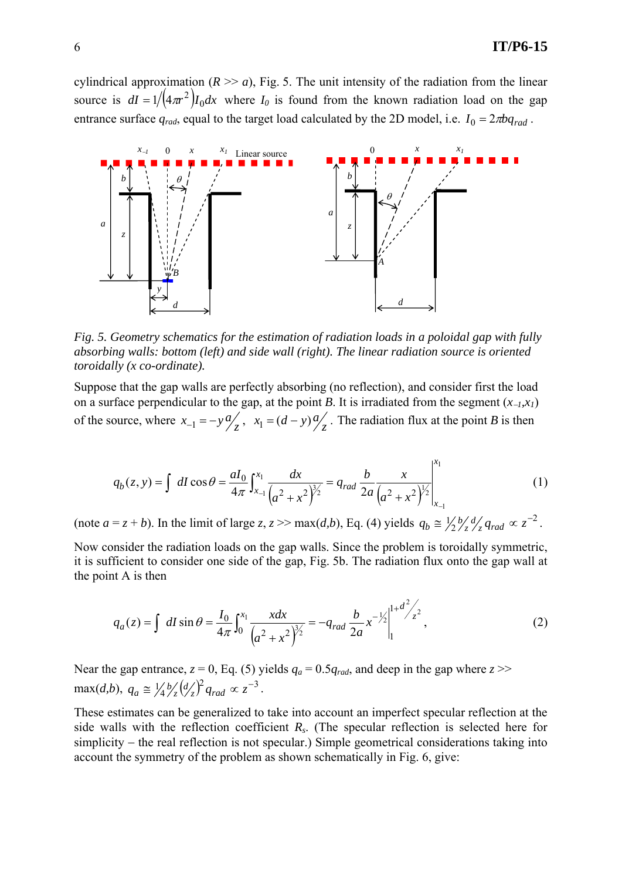cylindrical approximation ( $R \gg a$ ), Fig. 5. The unit intensity of the radiation from the linear source is  $dI = 1 / (4\pi r^2) I_0 dx$  where  $I_0$  is found from the known radiation load on the gap entrance surface  $q_{rad}$ , equal to the target load calculated by the 2D model, i.e.  $I_0 = 2\pi bq_{rad}$ .



*Fig. 5. Geometry schematics for the estimation of radiation loads in a poloidal gap with fully absorbing walls: bottom (left) and side wall (right). The linear radiation source is oriented toroidally (x co-ordinate).* 

Suppose that the gap walls are perfectly absorbing (no reflection), and consider first the load on a surface perpendicular to the gap, at the point *B*. It is irradiated from the segment  $(x_{-1},x_1)$ of the source, where  $x_{-1} = -y \frac{a}{z}$ ,  $x_1 = (d - y) \frac{a}{z}$ . The radiation flux at the point *B* is then

$$
q_b(z, y) = \int dI \cos \theta = \frac{aI_0}{4\pi} \int_{x_{-1}}^{x_1} \frac{dx}{\left(a^2 + x^2\right)^{3/2}} = q_{rad} \frac{b}{2a} \frac{x}{\left(a^2 + x^2\right)^{3/2}} \Big|_{x_{-1}}^{x_1}
$$
(1)

(note  $a = z + b$ ). In the limit of large  $z, z \gg \max(d, b)$ , Eq. (4) yields  $q_b \approx \frac{1}{2} \frac{b}{z} \frac{d}{dz} q_{rad} \propto z^{-2}$ .

Now consider the radiation loads on the gap walls. Since the problem is toroidally symmetric, it is sufficient to consider one side of the gap, Fig. 5b. The radiation flux onto the gap wall at the point A is then

$$
q_a(z) = \int dI \sin \theta = \frac{I_0}{4\pi} \int_0^{x_1} \frac{xdx}{\left(a^2 + x^2\right)^{3/2}} = -q_{rad} \frac{b}{2a} x^{-\frac{1}{2}} \Big|_1^{1 + d^2 / 2}, \tag{2}
$$

Near the gap entrance,  $z = 0$ , Eq. (5) yields  $q_a = 0.5q_{rad}$ , and deep in the gap where  $z \gg$  $\max(d,b), q_a \cong \frac{1}{4} \frac{b}{z} \left(\frac{d}{z}\right)^2 q_{rad} \propto z^{-3}$ .

These estimates can be generalized to take into account an imperfect specular reflection at the side walls with the reflection coefficient *Rs*. (The specular reflection is selected here for simplicity – the real reflection is not specular.) Simple geometrical considerations taking into account the symmetry of the problem as shown schematically in Fig. 6, give: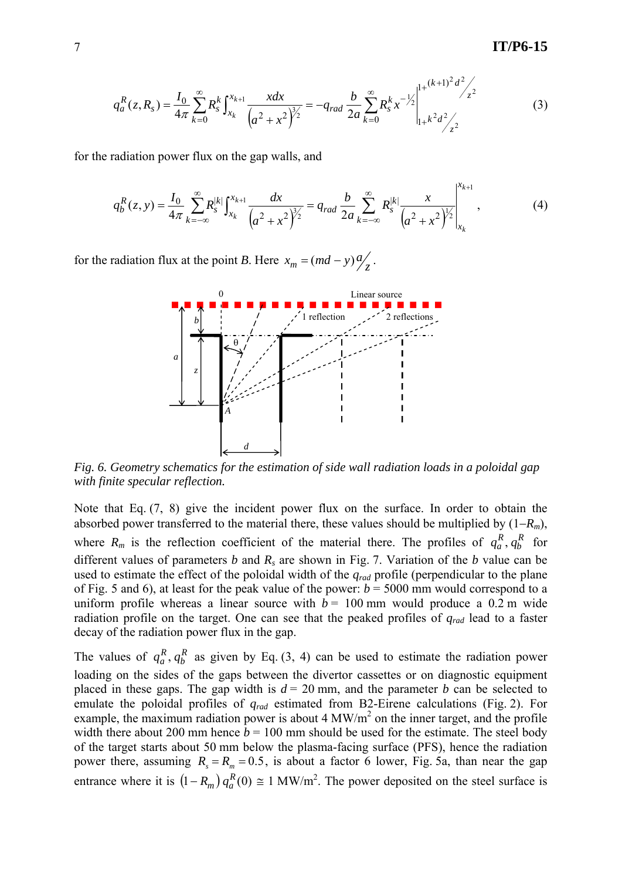$$
q_a^R(z, R_s) = \frac{I_0}{4\pi} \sum_{k=0}^{\infty} R_s^k \int_{x_k}^{x_{k+1}} \frac{xdx}{\left(a^2 + x^2\right)^{3/2}} = -q_{rad} \frac{b}{2a} \sum_{k=0}^{\infty} R_s^k x^{-\frac{1}{2}} \Big|_{1+k^2 d^2/2}^{1+(k+1)^2 d^2/2}
$$
(3)

for the radiation power flux on the gap walls, and

$$
q_b^R(z, y) = \frac{I_0}{4\pi} \sum_{k=-\infty}^{\infty} R_s^{|k|} \int_{x_k}^{x_{k+1}} \frac{dx}{\left(a^2 + x^2\right)^{3/2}} = q_{rad} \frac{b}{2a} \sum_{k=-\infty}^{\infty} R_s^{|k|} \frac{x}{\left(a^2 + x^2\right)^{1/2}} \Big|_{x_k}^{x_{k+1}},
$$
(4)

for the radiation flux at the point *B*. Here  $x_m = (md - y) \frac{a}{z}$ .



*Fig. 6. Geometry schematics for the estimation of side wall radiation loads in a poloidal gap with finite specular reflection.* 

Note that Eq. (7, 8) give the incident power flux on the surface. In order to obtain the absorbed power transferred to the material there, these values should be multiplied by (1−*Rm*), where  $R_m$  is the reflection coefficient of the material there. The profiles of  $q_a^R, q_b^R$  $q_a^R$ ,  $q_b^R$  for different values of parameters *b* and *Rs* are shown in Fig. 7. Variation of the *b* value can be used to estimate the effect of the poloidal width of the *qrad* profile (perpendicular to the plane of Fig. 5 and 6), at least for the peak value of the power:  $b = 5000$  mm would correspond to a uniform profile whereas a linear source with  $b = 100$  mm would produce a 0.2 m wide radiation profile on the target. One can see that the peaked profiles of *qrad* lead to a faster decay of the radiation power flux in the gap.

The values of  $q_a^R$ ,  $q_b^R$  $q_a^R$ ,  $q_b^R$  as given by Eq. (3, 4) can be used to estimate the radiation power loading on the sides of the gaps between the divertor cassettes or on diagnostic equipment placed in these gaps. The gap width is  $d = 20$  mm, and the parameter *b* can be selected to emulate the poloidal profiles of *qrad* estimated from B2-Eirene calculations (Fig. 2). For example, the maximum radiation power is about 4 MW/m<sup>2</sup> on the inner target, and the profile width there about 200 mm hence  $b = 100$  mm should be used for the estimate. The steel body of the target starts about 50 mm below the plasma-facing surface (PFS), hence the radiation power there, assuming  $R_s = R_m = 0.5$ , is about a factor 6 lower, Fig. 5a, than near the gap entrance where it is  $(1 - R_m) q_a^R(0) \approx 1 \text{ MW/m}^2$ . The power deposited on the steel surface is